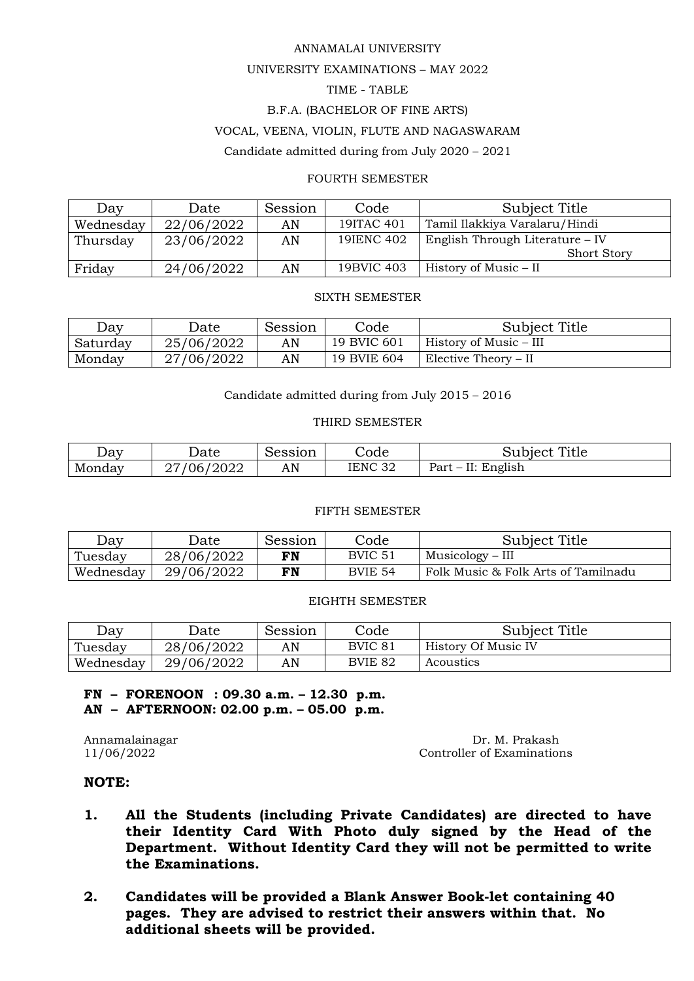#### ANNAMALAI UNIVERSITY

## UNIVERSITY EXAMINATIONS – MAY 2022

## TIME - TABLE

## B.F.A. (BACHELOR OF FINE ARTS)

#### VOCAL, VEENA, VIOLIN, FLUTE AND NAGASWARAM

Candidate admitted during from July 2020 – 2021

#### FOURTH SEMESTER

| Day       | Date       | Session | Code       | Subject Title                   |
|-----------|------------|---------|------------|---------------------------------|
| Wednesday | 22/06/2022 | AN      | 19ITAC 401 | Tamil Ilakkiya Varalaru/Hindi   |
| Thursday  | 23/06/2022 | AN      | 19 ENC 402 | English Through Literature – IV |
|           |            |         |            | <b>Short Story</b>              |
| Friday    | 24/06/2022 | AN      | 19BVIC 403 | History of Music – II           |

#### SIXTH SEMESTER

| Day      | Date       | Session | .<br>Code   | Subject Title          |
|----------|------------|---------|-------------|------------------------|
| Saturday | 25/06/2022 | AN      | 19 BVIC 601 | History of Music – III |
| Monday   | 27/06/2022 | AN      | 19 BVIE 604 | Elective Theory – II   |

Candidate admitted during from July 2015 – 2016

#### THIRD SEMESTER

| $\Delta$ av | hnte                   | ∽<br>10001<br>ാവ്ഡ് | Code                     | Title<br>' aubiectاں                   |
|-------------|------------------------|---------------------|--------------------------|----------------------------------------|
| Mondav      | 2022<br>חר<br>ე6.<br>∽ | AN                  | IENC <sub>32</sub><br>◡∠ | $\cdot$ $\cdot$<br>Part<br>English<br> |

#### FIFTH SEMESTER

| Day       | Jate       | Session | Code           | Subject Title                       |
|-----------|------------|---------|----------------|-------------------------------------|
| Tuesday   | 28/06/2022 | FN      | BVIC 51        | Musicology – III                    |
| Wednesday | 29/06/2022 | FN      | <b>BVIE 54</b> | Folk Music & Folk Arts of Tamilnadu |

#### EIGHTH SEMESTER

| Day       | Date       | Session | Code    | Subject Title       |
|-----------|------------|---------|---------|---------------------|
| Tuesday   | 28/06/2022 | AN      | BVIC 81 | History Of Music IV |
| Wednesday | 29/06/2022 | AN      | BVIE 82 | Acoustics           |

**FN – FORENOON : 09.30 a.m. – 12.30 p.m. AN – AFTERNOON: 02.00 p.m. – 05.00 p.m.**

Annamalainagar Dr. M. Prakash 11/06/2022 Controller of Examinations

## **NOTE:**

- **1. All the Students (including Private Candidates) are directed to have their Identity Card With Photo duly signed by the Head of the Department. Without Identity Card they will not be permitted to write the Examinations.**
- **2. Candidates will be provided a Blank Answer Book-let containing 40 pages. They are advised to restrict their answers within that. No additional sheets will be provided.**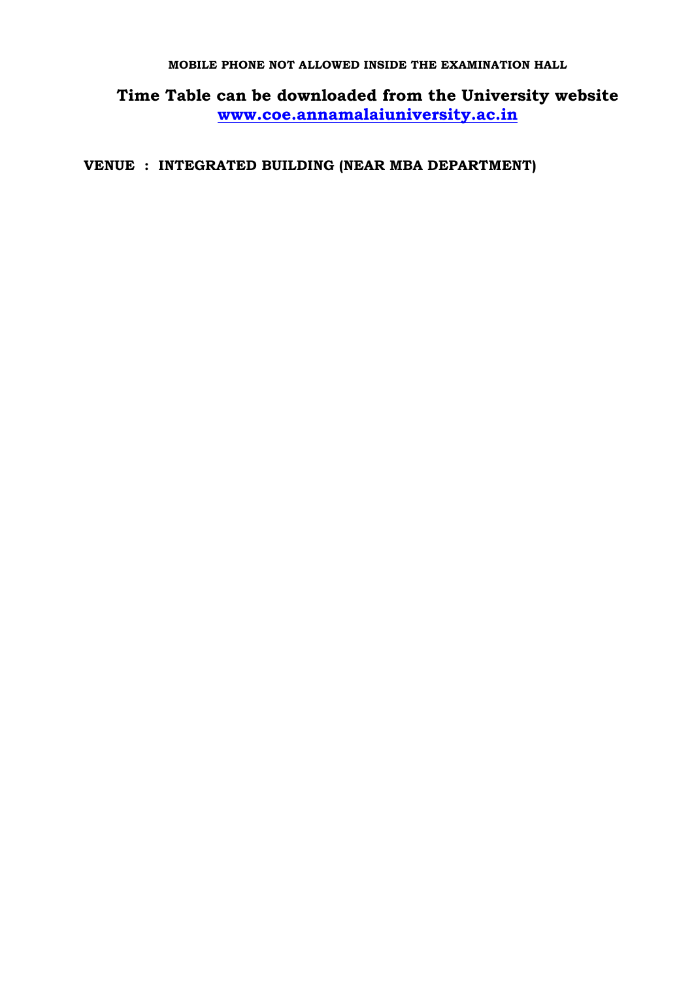## **MOBILE PHONE NOT ALLOWED INSIDE THE EXAMINATION HALL**

**Time Table can be downloaded from the University website [www.coe.annamalaiuniversity.ac.in](http://www.coe.annamalaiuniversity.ac.in/)**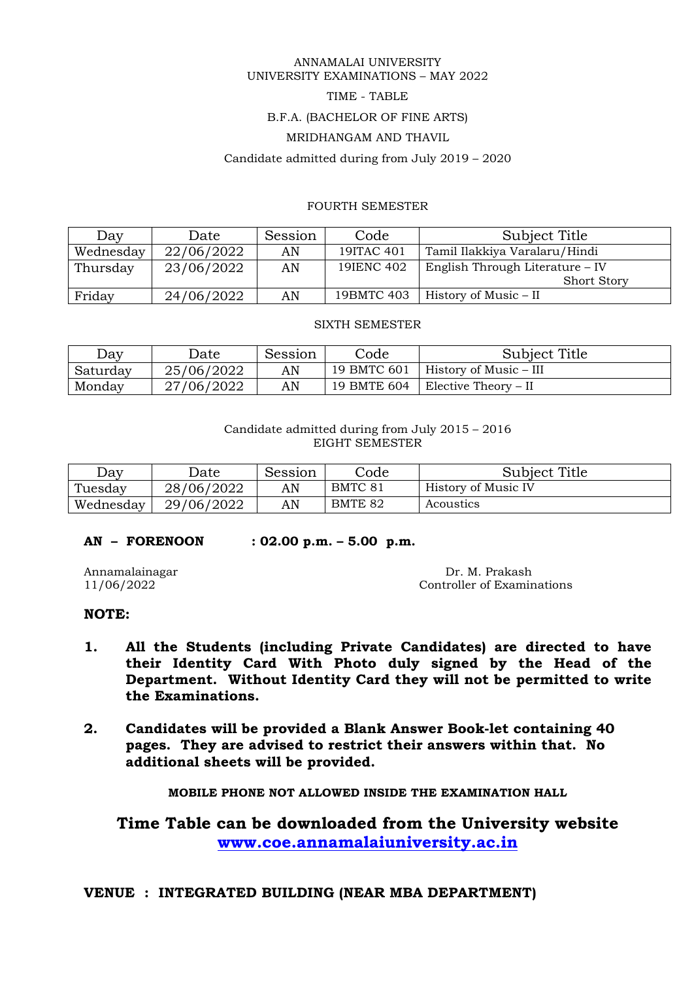#### ANNAMALAI UNIVERSITY UNIVERSITY EXAMINATIONS – MAY 2022

## TIME - TABLE

### B.F.A. (BACHELOR OF FINE ARTS)

## MRIDHANGAM AND THAVIL

#### Candidate admitted during from July 2019 – 2020

## FOURTH SEMESTER

| Day       | Date       | Session | Code       | Subject Title                   |
|-----------|------------|---------|------------|---------------------------------|
| Wednesday | 22/06/2022 | AN      | 19ITAC 401 | Tamil Ilakkiya Varalaru/Hindi   |
| Thursday  | 23/06/2022 | AN      | 19 ENC 402 | English Through Literature – IV |
|           |            |         |            | <b>Short Story</b>              |
| Friday    | 24/06/2022 | AN      | 19BMTC 403 | History of Music – II           |

#### SIXTH SEMESTER

| Day      | Jate       | Session | .<br>Code   | <b>Subject Title</b>   |
|----------|------------|---------|-------------|------------------------|
| Saturday | 25/06/2022 | AN      | 19 BMTC 601 | History of Music – III |
| Monday   | 7/06/2022  | AN      | 19 BMTE 604 | Elective Theory – II   |

### Candidate admitted during from July 2015 – 2016 EIGHT SEMESTER

| Day       | Jate       | Session | Code    | Subject Title       |
|-----------|------------|---------|---------|---------------------|
| Tuesday   | 28/06/2022 | AN      | BMTC 81 | History of Music IV |
| Wednesday | 29/06/2022 | AN      | BMTE 82 | Acoustics           |

## **AN – FORENOON : 02.00 p.m. – 5.00 p.m.**

Annamalainagar Dr. M. Prakash 11/06/2022 Controller of Examinations

## **NOTE:**

- **1. All the Students (including Private Candidates) are directed to have their Identity Card With Photo duly signed by the Head of the Department. Without Identity Card they will not be permitted to write the Examinations.**
- **2. Candidates will be provided a Blank Answer Book-let containing 40 pages. They are advised to restrict their answers within that. No additional sheets will be provided.**

**MOBILE PHONE NOT ALLOWED INSIDE THE EXAMINATION HALL**

**Time Table can be downloaded from the University website [www.coe.annamalaiuniversity.ac.in](http://www.coe.annamalaiuniversity.ac.in/)**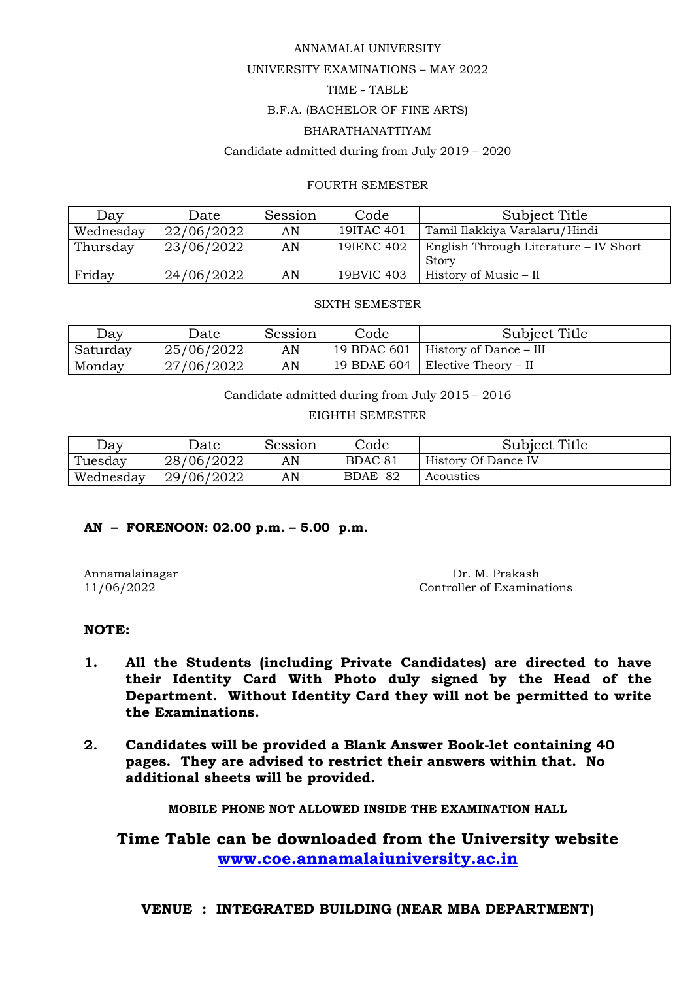### ANNAMALAI UNIVERSITY

## UNIVERSITY EXAMINATIONS – MAY 2022

## TIME - TABLE

## B.F.A. (BACHELOR OF FINE ARTS)

## BHARATHANATTIYAM

## Candidate admitted during from July 2019 – 2020

## FOURTH SEMESTER

| Day       | Date       | Session | Code       | Subject Title                         |
|-----------|------------|---------|------------|---------------------------------------|
| Wednesday | 22/06/2022 | AN      | 19ITAC 401 | Tamil Ilakkiya Varalaru/Hindi         |
| Thursday  | 23/06/2022 | AN      | 19 ENC 402 | English Through Literature – IV Short |
|           |            |         |            | Story                                 |
| Friday    | 24/06/2022 | AN      | 19BVIC 403 | History of Music – II                 |

#### SIXTH SEMESTER

| Day      | Jate       | Session | Sode.       | <b>Subject Title</b>   |
|----------|------------|---------|-------------|------------------------|
| Saturday | 25/06/2022 | AN      | 19 BDAC 601 | History of Dance – III |
| Monday   | 7/06/2022  | AN      | 19 BDAE 604 | Elective Theory – II   |

Candidate admitted during from July 2015 – 2016

EIGHTH SEMESTER

| Day       | Date       | Session | Code               | Subject Title       |
|-----------|------------|---------|--------------------|---------------------|
| Tuesday   | 28/06/2022 | AN      | BDAC <sub>81</sub> | History Of Dance IV |
| Wednesday | 29/06/2022 | AN      | BDAE 82            | Acoustics           |

## **AN – FORENOON: 02.00 p.m. – 5.00 p.m.**

Annamalainagar Dr. M. Prakash 11/06/2022 Controller of Examinations

## **NOTE:**

- **1. All the Students (including Private Candidates) are directed to have their Identity Card With Photo duly signed by the Head of the Department. Without Identity Card they will not be permitted to write the Examinations.**
- **2. Candidates will be provided a Blank Answer Book-let containing 40 pages. They are advised to restrict their answers within that. No additional sheets will be provided.**

**MOBILE PHONE NOT ALLOWED INSIDE THE EXAMINATION HALL**

**Time Table can be downloaded from the University website [www.coe.annamalaiuniversity.ac.in](http://www.coe.annamalaiuniversity.ac.in/)**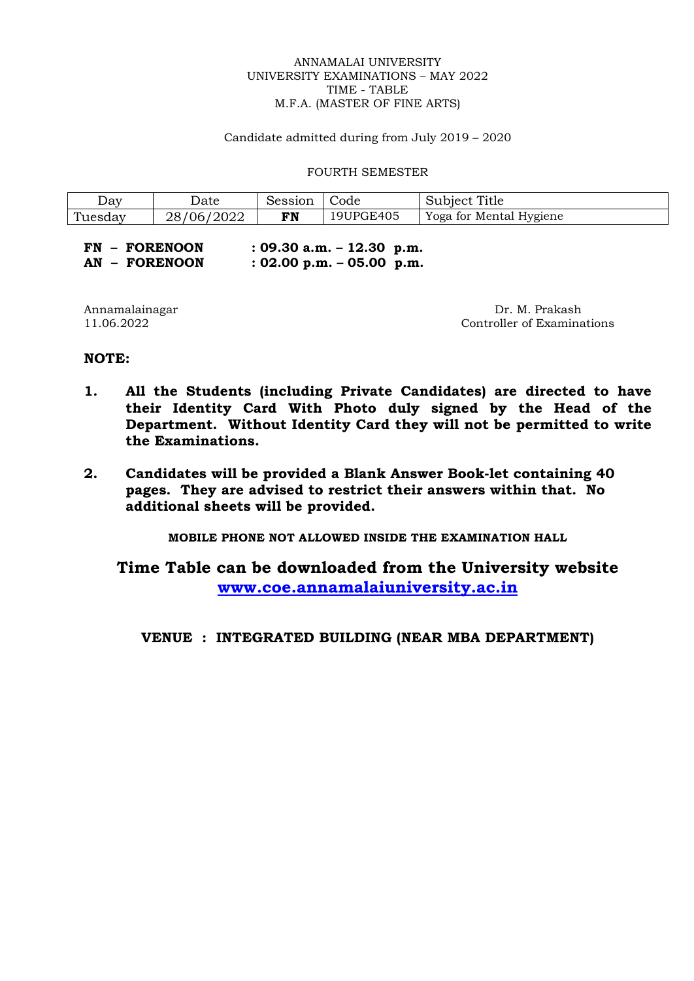#### ANNAMALAI UNIVERSITY UNIVERSITY EXAMINATIONS – MAY 2022 TIME - TABLE M.F.A. (MASTER OF FINE ARTS)

Candidate admitted during from July 2019 – 2020

FOURTH SEMESTER

| Dav     | Date                 | Session | Code      | Title<br>Subject T      |
|---------|----------------------|---------|-----------|-------------------------|
| Tuesday | /2022<br>'06/<br>28. | FN      | 19UPGE405 | Yoga for Mental Hygiene |

| <b>FN - FORENOON</b> | : 09.30 a.m. $-$ 12.30 p.m.  |  |
|----------------------|------------------------------|--|
| AN - FORENOON        | $: 02.00$ p.m. $-05.00$ p.m. |  |

Annamalainagar Dr. M. Prakash Dr. M. Prakash Dr. M. Prakash Dr. M. Prakash Dr. M. Prakash Dr. M. Prakash Dr. M Controller of Examinations

## **NOTE:**

- **1. All the Students (including Private Candidates) are directed to have their Identity Card With Photo duly signed by the Head of the Department. Without Identity Card they will not be permitted to write the Examinations.**
- **2. Candidates will be provided a Blank Answer Book-let containing 40 pages. They are advised to restrict their answers within that. No additional sheets will be provided.**

**MOBILE PHONE NOT ALLOWED INSIDE THE EXAMINATION HALL**

**Time Table can be downloaded from the University website [www.coe.annamalaiuniversity.ac.in](http://www.coe.annamalaiuniversity.ac.in/)**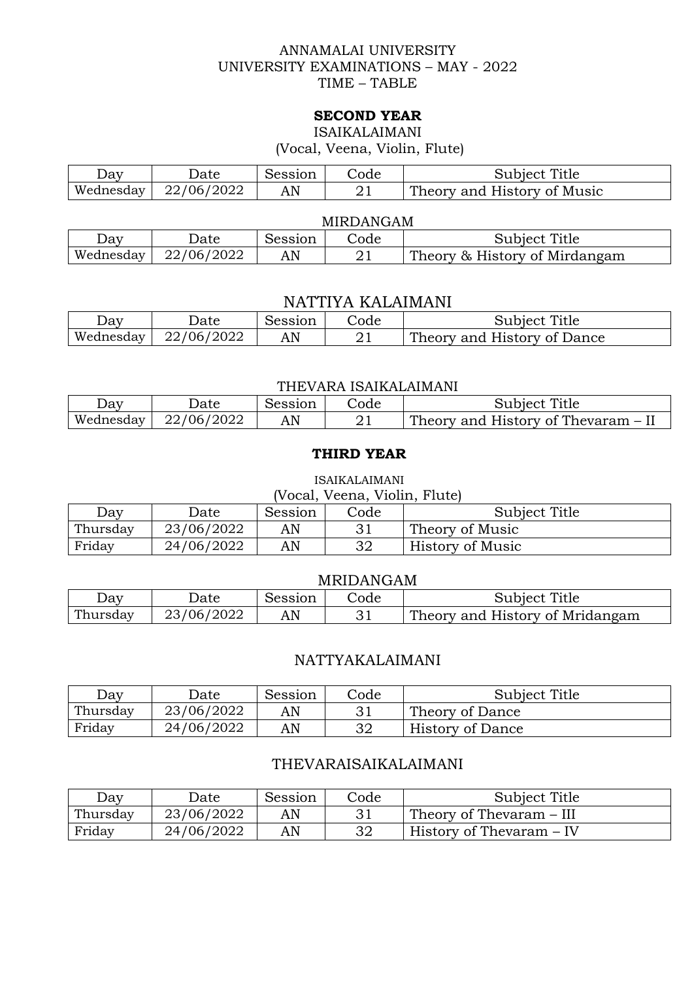## ANNAMALAI UNIVERSITY UNIVERSITY EXAMINATIONS – MAY - 2022 TIME – TABLE

## **SECOND YEAR**

ISAIKALAIMANI

(Vocal, Veena, Violin, Flute)

| Day       | Jate       | Session | Code. | Title<br>Subject            |
|-----------|------------|---------|-------|-----------------------------|
| Wednesday | 22/06/2022 | AN      |       | Theory and History of Music |

## MIRDANGAM

| ⊅av       | Date            | Session | Code | Title<br>Subject              |
|-----------|-----------------|---------|------|-------------------------------|
| Wednesday | /2022<br>22/06/ | AN      |      | Theory & History of Mirdangam |

# NATTIYA KALAIMANI

| ⊃av       | Jate       | Session | Code | Title<br>Subject                           |
|-----------|------------|---------|------|--------------------------------------------|
| Wednesday | 22/06/2022 | AN      |      | $\sqrt{ }$ History of Dance<br>Theory and. |

### THEVARA ISAIKALAIMANI

| ⊃av       | Jate       | Session | Code. | Title<br>Subiect                   |
|-----------|------------|---------|-------|------------------------------------|
| Wednesday | 22/06/2022 | AN      |       | Theory and History of Thevaram – I |

## **THIRD YEAR**

#### ISAIKALAIMANI

| (Vocal, Veena, Violin, Flute) |            |         |      |                  |  |
|-------------------------------|------------|---------|------|------------------|--|
| Day                           | Date       | Session | Code | Subject Title    |  |
| Thursday                      | 23/06/2022 | AN      |      | Theory of Music  |  |
| Friday                        | 24/06/2022 | AN      | 32   | History of Music |  |

## MRIDANGAM

| Jay      | Jate       | Session | Code | Subject Title                   |
|----------|------------|---------|------|---------------------------------|
| Thursday | 23/06/2022 | AN      |      | Theory and History of Mridangam |

# NATTYAKALAIMANI

| Day      | Jate       | Session | Code | Subject Title           |
|----------|------------|---------|------|-------------------------|
| Thursday | 23/06/2022 | AN      |      | Theory of Dance         |
| Friday   | 24/06/2022 | AN      | 32   | <b>History of Dance</b> |

# THEVARAISAIKALAIMANI

| Day      | Date       | Session | Code | Subject Title            |
|----------|------------|---------|------|--------------------------|
| Thursday | 23/06/2022 | AN      |      | Theory of Thevaram – III |
| Friday   | 24/06/2022 | AN      | 32   | History of Thevaram – IV |